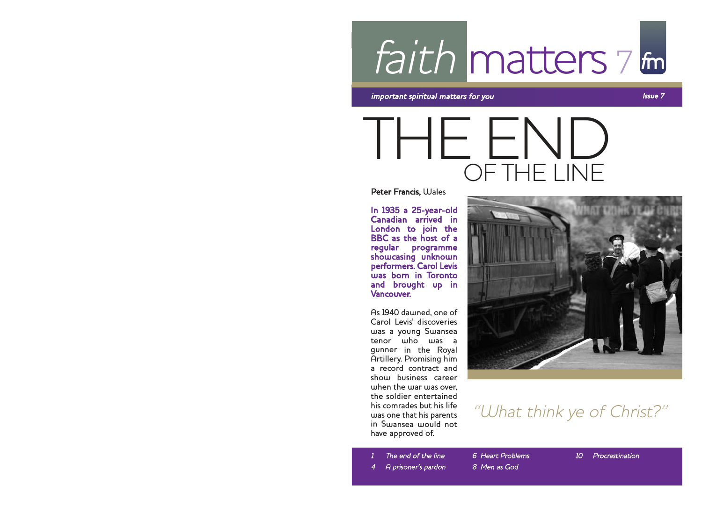### faith matters 7 <sup>f</sup>m

#### important spiritual matters for you Issue 7

## THE END OF THE LINE

#### Peter Francis, Wales

In 1935 a 25-year-old Canadian arrived in London to join the BBC as the host of a regular programme showcasing unknown performers. Carol Levis was born in Toronto and brought up in Vancouver.

As 1940 dawned, one of Carol Levis' discoveries was a young Swansea tenor who was gunner in the Royal Artillery. Promising him a record contract and show business career when the war was over the soldier entertained his comrades but his life was one that his parents in Swansea would not have approved of.



#### $\sin k$  in  $\alpha$  of Chri "What think ye of Christ?"

- 6 Heart Problems
- 8 Men as God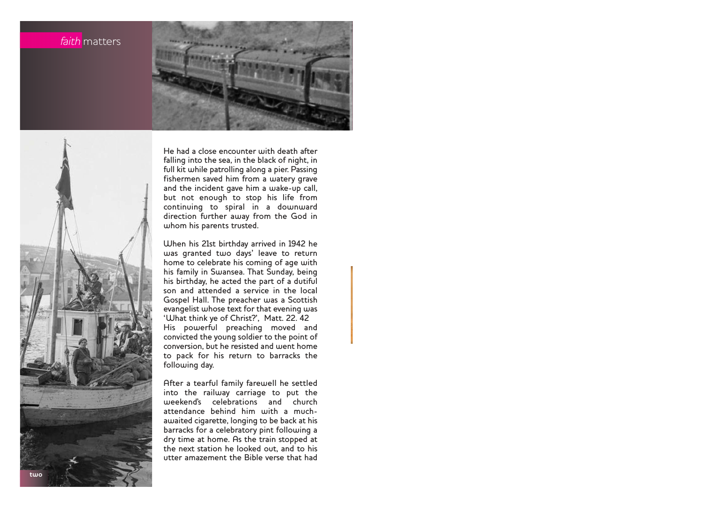#### faith matters





He had a close encounter with death after falling into the sea, in the black of night, in full kit while patrolling along a pier. Passing fishermen saved him from a watery grave and the incident gave him a wake-up call, but not enough to stop his life from continuing to spiral in a downward direction further away from the God in whom his parents trusted.

When his 21st birthday arrived in 1942 he was granted two days' leave to return home to celebrate his coming of age with his family in Swansea. That Sunday, being his birthday, he acted the part of a dutiful son and attended a service in the local Gospel Hall. The preacher was a Scottish evangelist whose text for that evening was 'What think ye of Christ?', Matt. 22. 42 His powerful preaching moved and convicted the young soldier to the point of conversion, but he resisted and went home to pack for his return to barracks the following day.

After a tearful family farewell he settled into the railway carriage to put the<br>ureekend's celebrations and church celebrations and church attendance behind him with a muchawaited cigarette, longing to be back at his barracks for a celebratory pint following a dry time at home. As the train stopped at the next station he looked out, and to his utter amazement the Bible verse that had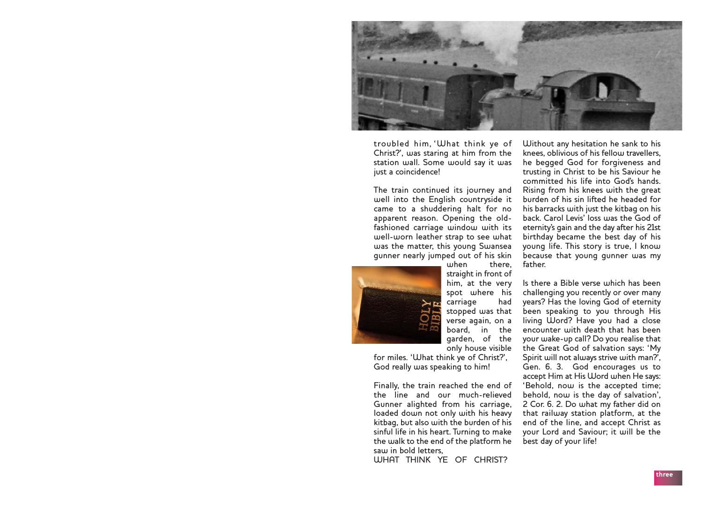

troubled him, 'What think ye of Christ?', was staring at him from the station wall. Some would say it was just a coincidence!

The train continued its journey and well into the English countryside it came to a shuddering halt for no apparent reason. Opening the oldfashioned carriage window with its well-worn leather strap to see what was the matter, this young Swansea gunner nearly jumped out of his skin



when straight in front of him, at the very spot where his carriage had stopped was that verse again, on a board, in the garden, of the only house visible

for miles. 'What think ye of Christ?', God really was speaking to him!

Finally, the train reached the end of the line and our much-relieved Gunner alighted from his carriage, loaded down not only with his heavy kitbag, but also with the burden of his sinful life in his heart. Turning to make the walk to the end of the platform he saw in bold letters

WHAT THINK YE OF CHRIST?

Without any hesitation he sank to his knees, oblivious of his fellow travellers, he begged God for forgiveness and trusting in Christ to be his Saviour he committed his life into God's hands. Rising from his knees with the great burden of his sin lifted he headed for his barracks with just the kitbag on his back. Carol Levis' loss was the God of eternity's gain and the day after his 21st birthday became the best day of his young life. This story is true, I know because that young gunner was my father.

Is there a Bible verse which has been challenging you recently or over many years? Has the loving God of eternity been speaking to you through His living Word? Have you had a close encounter with death that has been your wake-up call? Do you realise that the Great God of salvation says: 'My Spirit will not always strive with man?', Gen. 6. 3. God encourages us to accept Him at His Word when He says: 'Behold, now is the accepted time; behold, now is the day of salvation', 2 Cor. 6. 2. Do what my father did on that railway station platform, at the end of the line, and accept Christ as your Lord and Saviour; it will be the best day of your life!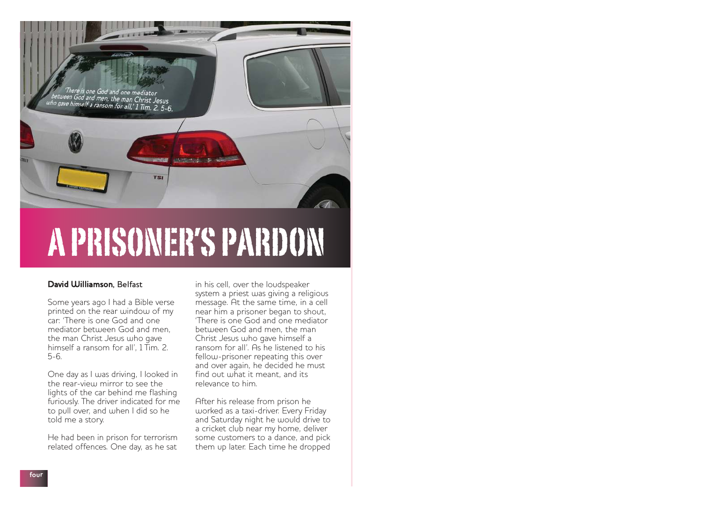

## A PRISONER'S PARDON

#### David Williamson, Belfast

Some years ago I had a Bible verse printed on the rear window of my car: 'There is one God and one mediator between God and men. the man Christ Jesus who gave himself a ransom for all', 1 Tim. 2. 5-6.

One day as I was driving, I looked in the rear-view mirror to see the lights of the car behind me flashing furiously. The driver indicated for me to pull over, and when I did so he told me a story.

He had been in prison for terrorism related offences. One day, as he sat

in his cell, over the loudspeaker system a priest was giving a religious message. At the same time, in a cell near him a prisoner began to shout, 'There is one God and one mediator between God and men, the man Christ Jesus who gave himself a ransom for all'. As he listened to his fellow-prisoner repeating this over and over again, he decided he must find out what it meant, and its relevance to him.

After his release from prison he worked as a taxi-driver. Every Friday and Saturday night he would drive to a cricket club near my home, deliver some customers to a dance, and pick them up later. Each time he dropped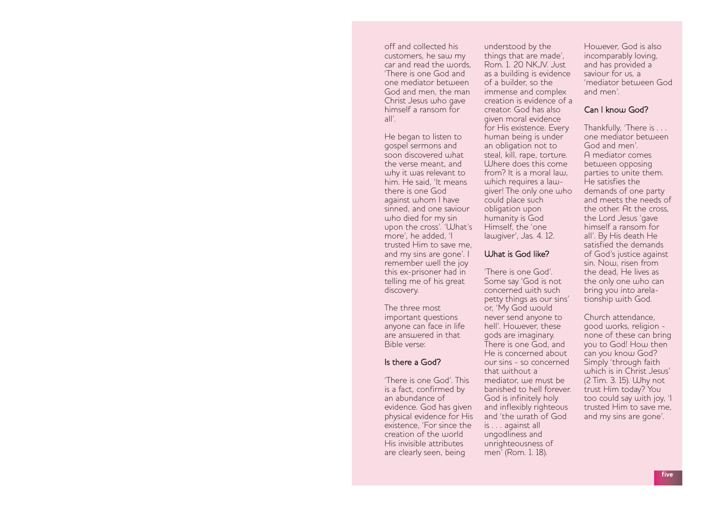off and collected his customers, he saw my car and read the words, 'There is one God and one mediator between God and men, the man Christ Jesus who gave himself a ransom for all'.

He began to listen to gospel sermons and soon discovered what the verse meant, and why it was relevant to him. He said, 'It means there is one God against whom I have sinned, and one saviour who died for my sin upon the cross'. 'What's more', he added, 'I trusted Him to save me, and my sins are gone'. I remember well the joy this ex-prisoner had in telling me of his great discovery.

The three most important questions anyone can face in life are answered in that Bible verse:

#### Is there a God?

'There is one God'. This is a fact, confirmed by an abundance of evidence. God has given physical evidence for His existence, 'For since the creation of the world His invisible attributes are clearly seen, being

understood by the things that are made', Rom. 1. 20 NKJV. Just as a building is evidence of a builder, so the immense and complex creation is evidence of a creator. God has also given moral evidence for His existence. Every human being is under an obligation not to steal, kill, rape, torture. Where does this come from? It is a moral law, which requires a lawgiver! The only one who could place such obligation upon humanity is God Himself, the 'one lawgiver', Jas. 4. 12.

#### What is God like?

'There is one God'. Some say 'God is not concerned with such petty things as our sins' or, 'My God would never send anyone to hell'. However, these gods are imaginary. There is one God, and He is concerned about our sins - so concerned that without a mediator, we must be banished to hell forever. God is infinitely holy and inflexibly righteous and 'the wrath of God is . . . against all ungodliness and unrighteousness of men' (Rom. 1. 18).

However, God is also incomparably loving, and has provided a saviour for us, a 'mediator between God and men'.

#### Can I know God?

Thankfully, 'There is . . . one mediator between God and men'. A mediator comes between opposing parties to unite them. He satisfies the demands of one party and meets the needs of the other. At the cross, the Lord Jesus 'gave himself a ransom for all'. By His death He satisfied the demands of God's justice against sin. Now, risen from the dead, He lives as the only one who can bring you into arelationship with God.

Church attendance, good works, religion none of these can bring you to God! How then can you know God? Simply 'through faith which is in Christ Jesus' (2 Tim. 3. 15). Why not trust Him today? You too could say with joy, 'I trusted Him to save me, and my sins are gone'.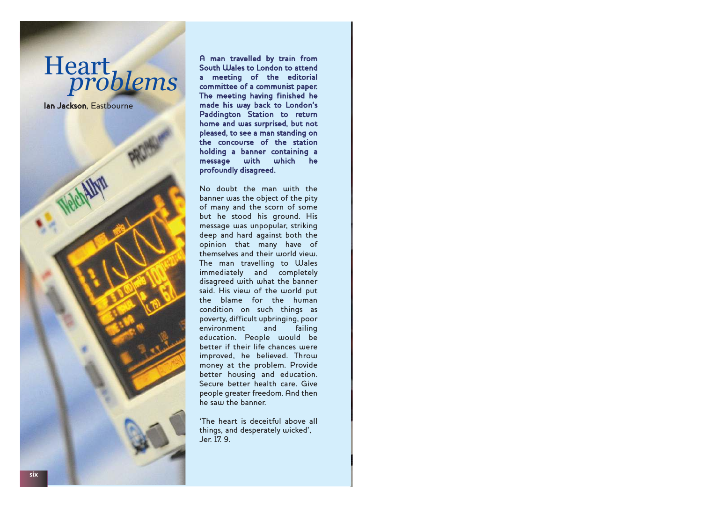## Heart *problems*

Ian Jackson, Eastbourne

A man travelled by train from South Wales to London to attend meeting of the editorial committee of a communist paper. The meeting having finished he made his way back to London's Paddington Station to return home and was surprised, but not pleased, to see a man standing on the concourse of the station holding a banner containing a message profoundly disagreed.

No doubt the man with the banner was the object of the pity of many and the scorn of some but he stood his ground. His message was unpopular, striking deep and hard against both the opinion that many have of themselves and their world view. The man travelling to Wales immediately and completely disagreed with what the banner said. His view of the world put the blame for the human condition on such things as poverty, difficult upbringing, poor environment and failing education. People would be better if their life chances were improved, he believed. Throw money at the problem. Provide better housing and education. Secure better health care. Give people greater freedom. And then he saw the banner.

'The heart is deceitful above all things, and desperately wicked', Jer. 17. 9.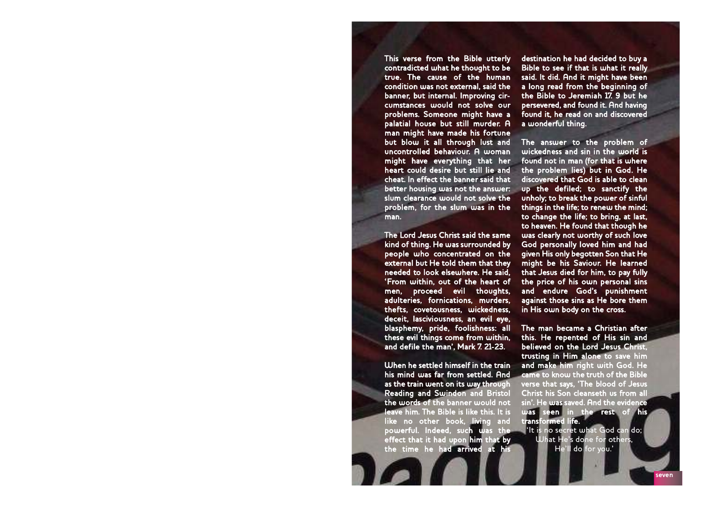This verse from the Bible utterly contradicted what he thought to be true. The cause of the human condition was not external, said the banner, but internal. Improving circumstances would not solve our problems. Someone might have a palatial house but still murder. A man might have made his fortune but blow it all through lust and uncontrolled behaviour. A woman might have everything that her heart could desire but still lie and cheat. In effect the banner said that better housing was not the answer: slum clearance would not solve the problem, for the slum was in the man.

The Lord Jesus Christ said the same kind of thing. He was surrounded by people who concentrated on the .<br>external but He told them that they needed to look elsewhere. He said, 'From within, out of the heart of<br>men. proceed evil thoughts. men, proceed evil thoughts, adulteries, fornications, murders, thefts, covetousness, wickedness, deceit, lasciviousness, an evil eye, blasphemy, pride, foolishness: all these evil things come from within, and defile the man', Mark 7. 21-23.

When he settled himself in the train his mind was far from settled. And as the train went on its way through Reading and Swindon and Bristol the words of the banner would not leave him. The Bible is like this. It is like no other book, living and powerful. Indeed, such was the effect that it had upon him that by the time he had arrived at his destination he had decided to buy a Bible to see if that is what it really said. It did. And it might have been a long read from the beginning of the Bible to Jeremiah 17. 9 but he persevered, and found it. And having found it, he read on and discovered a wonderful thing.

The answer to the problem of wickedness and sin in the world is found not in man (for that is where the problem lies) but in God. He discovered that God is able to clean up the defiled; to sanctify the unholy; to break the power of sinful things in the life; to renew the mind; to change the life; to bring, at last, to heaven. He found that though he was clearly not worthy of such love God personally loved him and had given His only begotten Son that He might be his Saviour. He learned that Jesus died for him, to pay fully the price of his own personal sins and endure God's punishment against those sins as He bore them in His own body on the cross.

The man became a Christian after this. He repented of His sin and believed on the Lord Jesus Christ, trusting in Him alone to save him and make him right with God. He came to know the truth of the Bible verse that says, 'The blood of Jesus Christ his Son cleanseth us from all sin'. He was saved. And the evidence was seen in the rest of his transformed life.

'It is no secret what God can do; What He's done for others, He'll do for you.'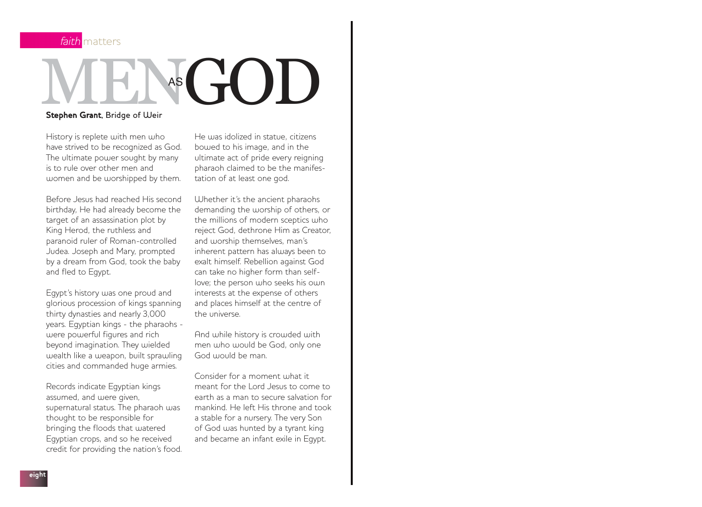

# MEN<sup>4</sup>SCOD

#### Stephen Grant, Bridge of Weir

History is replete with men who have strived to be recognized as God. The ultimate power sought by many is to rule over other men and women and be worshipped by them.

Before Jesus had reached His second birthday, He had already become the target of an assassination plot by King Herod, the ruthless and paranoid ruler of Roman-controlled Judea. Joseph and Mary, prompted by a dream from God, took the baby and fled to Egypt.

Egypt's history was one proud and glorious procession of kings spanning thirty dynasties and nearly 3,000 years. Egyptian kings - the pharaohs were powerful figures and rich beyond imagination. They wielded wealth like a weapon, built sprawling cities and commanded huge armies.

Records indicate Egyptian kings assumed, and were given, supernatural status. The pharaoh was thought to be responsible for bringing the floods that watered Egyptian crops, and so he received credit for providing the nation's food. He was idolized in statue, citizens bowed to his image, and in the ultimate act of pride every reigning pharaoh claimed to be the manifestation of at least one god.

Whether it's the ancient pharaohs demanding the worship of others, or the millions of modern sceptics who reject God, dethrone Him as Creator, and worship themselves, man's inherent pattern has always been to exalt himself. Rebellion against God can take no higher form than selflove; the person who seeks his own interests at the expense of others and places himself at the centre of the universe.

And while history is crowded with men who would be God, only one God would be man.

Consider for a moment what it meant for the Lord Jesus to come to earth as a man to secure salvation for mankind. He left His throne and took a stable for a nursery. The very Son of God was hunted by a tyrant king and became an infant exile in Egypt.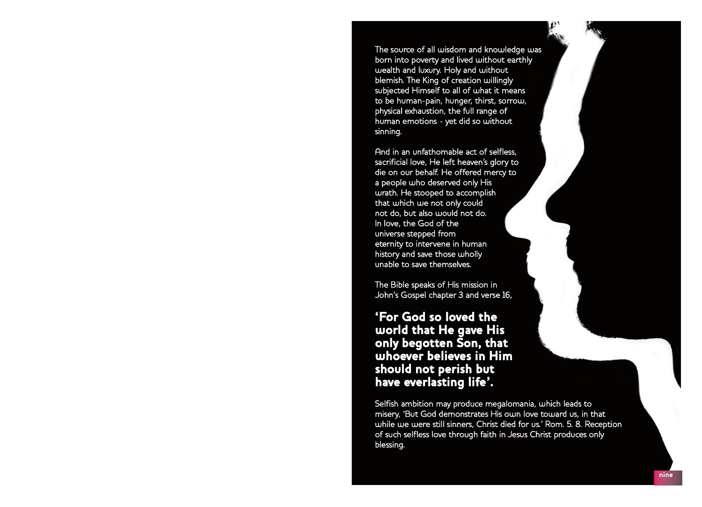The source of all wisdom and knowledge was born into poverty and lived without earthly wealth and luxury. Holy and without blemish. The King of creation willingly subjected Himself to all of what it means to be human-pain, hunger, thirst, sorrow, physical exhaustion, the full range of human emotions - yet did so without sinning.

And in an unfathomable act of selfless, sacrificial love, He left heaven's glory to die on our behalf. He offered mercy to a people who deserved only His wrath. He stooped to accomplish that which we not only could not do, but also would not do. In love, the God of the universe stepped from eternity to intervene in human history and save those wholly unable to save themselves.

The Bible speaks of His mission in John's Gospel chapter 3 and verse 16,

**'For God so loved the world that He gave His only begotten Son, that whoever believes in Him should not perish but have everlasting life'.**

Selfish ambition may produce megalomania, which leads to misery, 'But God demonstrates His own love toward us, in that while we were still sinners, Christ died for us.' Rom. 5. 8. Reception of such selfless love through faith in Jesus Christ produces only blessing.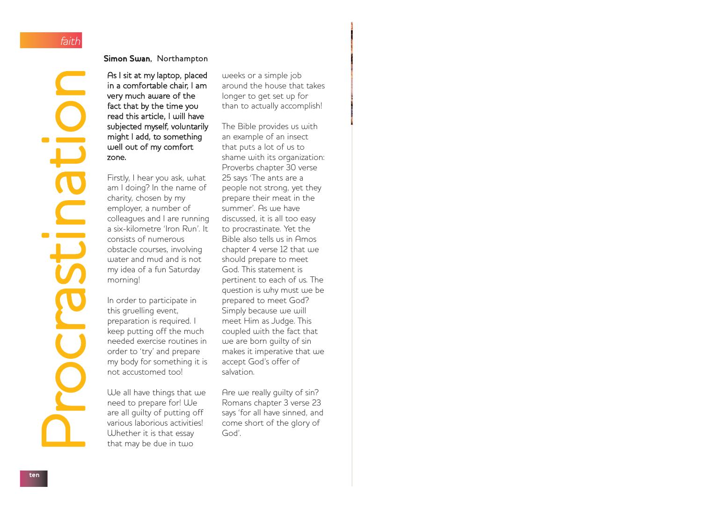**D** mot  $\bigcup$ **range of the set of the set of the set of the set of the set of the set of the set of the set of the set of the set of the set of the set of the set of the set of the set of the set of the set of the set of the set of the**  $\boldsymbol{\mathcal{S}}$  $\mathbf \mapsto$ in a bha an chuid an chuid an chuid an chuid an chuid an chuid an chuid an chuid an chuid an chuid an chuid an n**a**  $\bm{\mathsf{L}}$ in a bha an chuid an chuid an chuid an chuid an chuid an chuid an chuid an chuid an chuid an chuid an chuid an on

#### Simon Swan, Northampton

As I sit at my laptop, placed in a comfortable chair, I am very much aware of the fact that by the time you read this article, I will have subjected myself, voluntarily might I add, to something well out of my comfort zone.

Firstly, I hear you ask, what am I doing? In the name of charity, chosen by my employer, a number of colleagues and I are running a six-kilometre 'Iron Run'. It consists of numerous obstacle courses, involving water and mud and is not my idea of a fun Saturday morning!

In order to participate in this gruelling event, preparation is required. I keep putting off the much needed exercise routines in order to 'try' and prepare my body for something it is not accustomed too!

We all have things that we need to prepare for! We are all guilty of putting off various laborious activities! Whether it is that essay that may be due in two come short of the glory of<br>
various laborious activities! come short of the glory of<br>
Whether it is that essay God'.

weeks or a simple job around the house that takes longer to get set up for than to actually accomplish!

The Bible provides us with an example of an insect that puts a lot of us to shame with its organization: Proverbs chapter 30 verse 25 says 'The ants are a people not strong, yet they prepare their meat in the summer'. As we have discussed, it is all too easy to procrastinate. Yet the Bible also tells us in Amos chapter 4 verse 12 that we should prepare to meet God. This statement is pertinent to each of us. The question is why must we be prepared to meet God? Simply because we will meet Him as Judge. This coupled with the fact that we are born guilty of sin makes it imperative that we accept God's offer of salvation.

Are we really guilty of sin? Romans chapter 3 verse 23 says 'for all have sinned, and<br>come short of the glory of God'.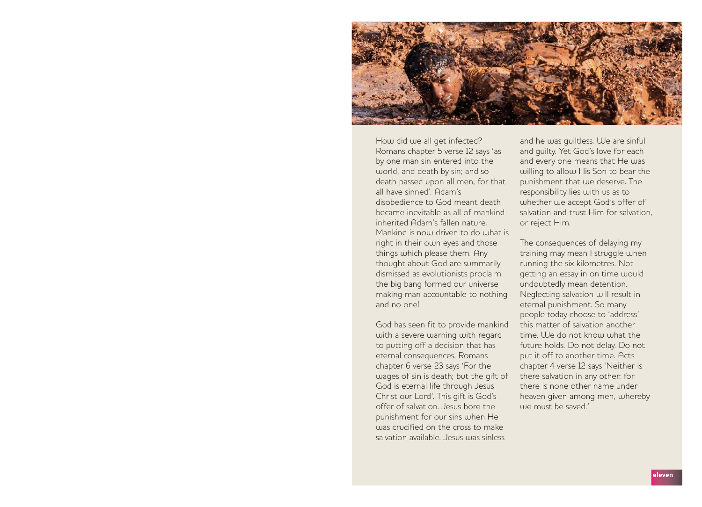

How did we all get infected? Romans chapter 5 verse 12 says 'as by one man sin entered into the world, and death by sin; and so death passed upon all men, for that all have sinned'. Adam's disobedience to God meant death became inevitable as all of mankind inherited Adam's fallen nature. Mankind is now driven to do what is right in their own eyes and those things which please them. Any thought about God are summarily dismissed as evolutionists proclaim the big bang formed our universe making man accountable to nothing and no one!

God has seen fit to provide mankind with a severe warning with regard to putting off a decision that has eternal consequences. Romans chapter 6 verse 23 says 'For the wages of sin is death; but the gift of God is eternal life through Jesus Christ our Lord'. This gift is God's offer of salvation. Jesus bore the punishment for our sins when He was crucified on the cross to make salvation available. Jesus was sinless

and he was guiltless. We are sinful and guilty. Yet God's love for each and every one means that He was willing to allow His Son to bear the punishment that we deserve. The responsibility lies with us as to whether we accept God's offer of salvation and trust Him for salvation, or reject Him.

The consequences of delaying my training may mean I struggle when running the six kilometres. Not getting an essay in on time would undoubtedly mean detention. Neglecting salvation will result in eternal punishment. So many people today choose to 'address' this matter of salvation another time. We do not know what the future holds. Do not delay. Do not put it off to another time. Acts chapter 4 verse 12 says 'Neither is there salvation in any other: for there is none other name under heaven given among men, whereby we must be saved.'